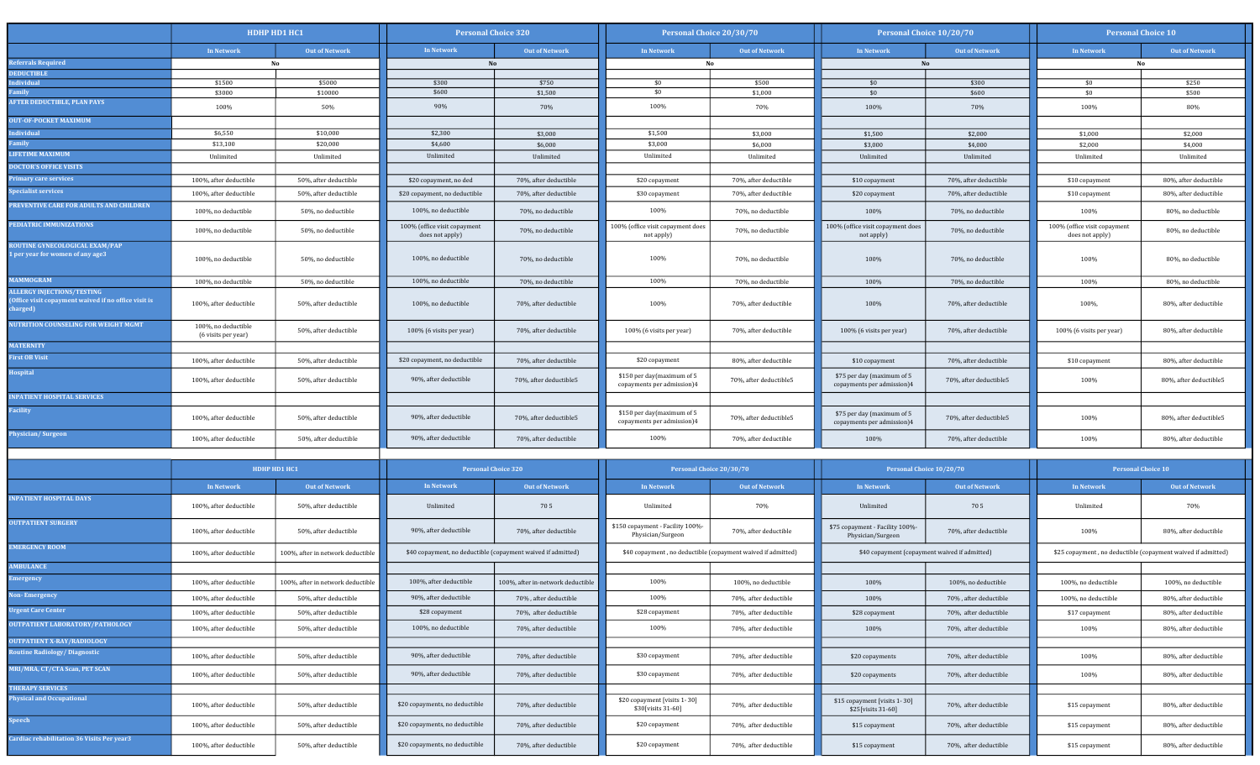|                                                                                                    | HDHP HD1 HC1                               |                                   |                                                 | <b>Personal Choice 320</b><br>Personal Choice 20/30/70<br>Personal Choice 10/20/70 |                                                          | <b>Personal Choice 10</b>                                    |                                                          |                                               |                                                 |                                                              |  |
|----------------------------------------------------------------------------------------------------|--------------------------------------------|-----------------------------------|-------------------------------------------------|------------------------------------------------------------------------------------|----------------------------------------------------------|--------------------------------------------------------------|----------------------------------------------------------|-----------------------------------------------|-------------------------------------------------|--------------------------------------------------------------|--|
|                                                                                                    | In Network                                 | Out of Network                    | In Network                                      | Out of Network                                                                     | In Network                                               | Out of Network                                               | <b>In Network</b>                                        | Out of Network                                | In Network                                      | Out of Network                                               |  |
| deferrals Required                                                                                 | No                                         |                                   | No                                              |                                                                                    | No                                                       |                                                              | No                                                       |                                               | No                                              |                                                              |  |
| <b>EDUCTIBLE</b>                                                                                   |                                            |                                   |                                                 |                                                                                    |                                                          |                                                              |                                                          |                                               |                                                 |                                                              |  |
| ndividual<br>amily                                                                                 | \$1500<br>\$3000                           | \$5000<br>\$10000                 | \$300<br>\$600                                  | \$750<br>\$1,500                                                                   | \$0<br>\$0                                               | \$500<br>\$1,000                                             | \$0<br>\$0                                               | \$300<br>\$600                                | \$0<br>\$0                                      | \$250<br>\$500                                               |  |
| <b>FTER DEDUCTIBLE, PLAN PAYS</b>                                                                  | 100%                                       | 50%                               | 90%                                             | 70%                                                                                | 100%                                                     | 70%                                                          | 100%                                                     | 70%                                           | 100%                                            | 80%                                                          |  |
| <b>NUT-OF-POCKET MAXIMUM</b>                                                                       |                                            |                                   |                                                 |                                                                                    |                                                          |                                                              |                                                          |                                               |                                                 |                                                              |  |
| adividual                                                                                          | \$6,550                                    | \$10,000                          | \$2,300                                         | \$3,000                                                                            | \$1,500                                                  | \$3,000                                                      | \$1,500                                                  | \$2,000                                       | \$1,000                                         | \$2,000                                                      |  |
| amily                                                                                              | \$13,100                                   | \$20,000                          | \$4,600                                         | \$6,000                                                                            | \$3,000                                                  | \$6,000                                                      | \$3,000                                                  | \$4,000                                       | \$2,000                                         | \$4,000                                                      |  |
| <b>LIFETIME MAXIMUM</b>                                                                            | Unlimited                                  | Unlimited                         | Unlimited                                       | Unlimited                                                                          | Unlimited                                                | Unlimited                                                    | Unlimited                                                | Unlimited                                     | Unlimited                                       | Unlimited                                                    |  |
| <b>DOCTOR'S OFFICE VISITS</b>                                                                      |                                            |                                   |                                                 |                                                                                    |                                                          |                                                              |                                                          |                                               |                                                 |                                                              |  |
| rimary care services                                                                               | 100%, after deductible                     | 50%, after deductible             | \$20 copayment, no ded                          | 70%, after deductible                                                              | \$20 copayment                                           | 70%, after deductible                                        | \$10 copayment                                           | 70%, after deductible                         | \$10 copayment                                  | 80%, after deductible                                        |  |
| pecialist services                                                                                 | 100%, after deductible                     | 50%, after deductible             | \$20 copayment, no deductible                   | 70%, after deductible                                                              | \$30 copayment                                           | 70%, after deductible                                        | \$20 copayment                                           | 70%, after deductible                         | \$10 copayment                                  | 80%, after deductible                                        |  |
| <b>REVENTIVE CARE FOR ADULTS AND CHILDREN</b>                                                      | 100%, no deductible                        | 50%, no deductible                | 100%, no deductible                             | 70%, no deductible                                                                 | 100%                                                     | 70%, no deductible                                           | 100%                                                     | 70%, no deductible                            | 100%                                            | 80%, no deductible                                           |  |
| <b>EDIATRIC IMMUNIZATIONS</b>                                                                      | 100%, no deductible                        | 50%, no deductible                | 100% (office visit copayment<br>does not apply) | 70%, no deductible                                                                 | 100% (office visit copayment does<br>not apply)          | 70%, no deductible                                           | 100% (office visit copayment does<br>not apply)          | 70%, no deductible                            | 100% (office visit copayment<br>does not apply) | 80%, no deductible                                           |  |
| <b>OUTINE GYNECOLOGICAL EXAM/PAP</b><br>per year for women of any age3                             | 100%, no deductible                        | 50%, no deductible                | 100%, no deductible                             | 70%, no deductible                                                                 | 100%                                                     | 70%, no deductible                                           | 100%                                                     | 70%, no deductible                            | 100%                                            | 80%, no deductible                                           |  |
| <b>MAMMOGRAM</b>                                                                                   | 100%, no deductible                        | 50%, no deductible                | 100%, no deductible                             | 70%, no deductible                                                                 | 100%                                                     | 70%, no deductible                                           | 100%                                                     | 70%, no deductible                            | 100%                                            | 80%, no deductible                                           |  |
| <b>LLERGY INJECTIONS/TESTING</b><br>Office visit copayment waived if no office visit is<br>harged) | 100%, after deductible                     | 50%, after deductible             | 100%, no deductible                             | 70%, after deductible                                                              | 100%                                                     | 70%, after deductible                                        | 100%                                                     | 70%, after deductible                         | 100%,                                           | 80%, after deductible                                        |  |
| UTRITION COUNSELING FOR WEIGHT MGMT<br><b>IATERNITY</b>                                            | 100%, no deductible<br>(6 visits per year) | 50%, after deductible             | 100% (6 visits per year)                        | 70%, after deductible                                                              | 100% (6 visits per year)                                 | 70%, after deductible                                        | 100% (6 visits per year)                                 | 70%, after deductible                         | 100% (6 visits per year)                        | 80%, after deductible                                        |  |
| irst OB Visit                                                                                      | 100%, after deductible                     | 50%, after deductible             | \$20 copayment, no deductible                   | 70%, after deductible                                                              | \$20 copayment                                           | 80%, after deductible                                        | \$10 copayment                                           | 70%, after deductible                         | \$10 copayment                                  | 80%, after deductible                                        |  |
| <b>lospital</b>                                                                                    | 100%, after deductible                     | 50%, after deductible             | 90%, after deductible                           | 70%, after deductible5                                                             | \$150 per day(maximum of 5<br>copayments per admission)4 | 70%, after deductible5                                       | \$75 per day (maximum of 5<br>copayments per admission)4 | 70%, after deductible5                        | 100%                                            | 80%, after deductible5                                       |  |
| <b>NPATIENT HOSPITAL SERVICES</b>                                                                  |                                            |                                   |                                                 |                                                                                    |                                                          |                                                              |                                                          |                                               |                                                 |                                                              |  |
| acility                                                                                            | 100%, after deductible                     | 50%, after deductible             | 90%, after deductible                           | 70%, after deductible5                                                             | \$150 per day(maximum of 5<br>copayments per admission)4 | 70%, after deductible5                                       | \$75 per day (maximum of 5<br>copayments per admission)4 | 70%, after deductible5                        | 100%                                            | 80%, after deductible5                                       |  |
| <b>Physician/Surgeon</b>                                                                           | 100%, after deductible                     | 50%, after deductible             | 90%, after deductible                           | 70%, after deductible                                                              | 100%                                                     | 70%, after deductible                                        | 100%                                                     | 70%, after deductible                         | 100%                                            | 80%, after deductible                                        |  |
|                                                                                                    |                                            |                                   |                                                 |                                                                                    |                                                          |                                                              |                                                          |                                               |                                                 |                                                              |  |
|                                                                                                    | HDHP HD1 HC1                               |                                   | <b>Personal Choice 320</b>                      |                                                                                    | Personal Choice 20/30/70                                 |                                                              | Personal Choice 10/20/70                                 |                                               | <b>Personal Choice 10</b>                       |                                                              |  |
|                                                                                                    | <b>In Network</b>                          | <b>Out of Network</b>             | In Network                                      | Out of Network                                                                     | In Network                                               | Out of Network                                               | <b>In Network</b>                                        | <b>Out of Network</b>                         | In Network                                      | Out of Network                                               |  |
| <b>NPATIENT HOSPITAL DAYS</b>                                                                      | 100%, after deductible                     | 50%, after deductible             | Unlimited                                       | 705                                                                                | Unlimited                                                | 70%                                                          | Unlimited                                                | 705                                           | Unlimited                                       | 70%                                                          |  |
| <b>UTPATIENT SURGERY</b>                                                                           | 100%, after deductible                     | 50%, after deductible             | 90%, after deductible                           | 70%, after deductible                                                              | \$150 copayment - Facility 100%-<br>Physician/Surgeon    | 70%, after deductible                                        | \$75 copayment - Facility 100%-<br>Physician/Surgeon     | 70%, after deductible                         | 100%                                            | 80%, after deductible                                        |  |
| <b>MERGENCY ROOM</b>                                                                               | 100%, after deductible                     | 100%, after in network deductible |                                                 | \$40 copayment, no deductible (copayment waived if admitted)                       |                                                          | \$40 copayment, no deductible (copayment waived if admitted) |                                                          | \$40 copayment (copayment waived if admitted) |                                                 | \$25 copayment, no deductible (copayment waived if admitted) |  |
| <b>MBULANCE</b>                                                                                    |                                            |                                   |                                                 |                                                                                    |                                                          |                                                              |                                                          |                                               |                                                 |                                                              |  |
| mergency                                                                                           | 100%, after deductible                     | 100%, after in network deductible | 100%, after deductible                          | 100%, after in-network deductible                                                  | 100%                                                     | 100%, no deductible                                          | 100%                                                     | 100%, no deductible                           | 100%, no deductible                             | 100%, no deductible                                          |  |
| on-Emergency                                                                                       | 100%, after deductible                     | 50%, after deductible             | 90%, after deductible                           | 70%, after deductible                                                              | 100%                                                     | 70%, after deductible                                        | 100%                                                     | 70%, after deductible                         | 100%, no deductible                             | 80%, after deductible                                        |  |
| <b>Irgent Care Center</b>                                                                          | 100%, after deductible                     | 50%, after deductible             | \$28 copayment                                  | 70%, after deductible                                                              | \$28 copayment                                           | 70%, after deductible                                        | \$28 copayment                                           | 70%, after deductible                         | \$17 copayment                                  | 80%, after deductible                                        |  |
| UTPATIENT LABORATORY/PATHOLOGY                                                                     | 100%, after deductible                     | 50%, after deductible             | 100%, no deductible                             | 70%, after deductible                                                              | 100%                                                     | 70%, after deductible                                        | 100%                                                     | 70%, after deductible                         | 100%                                            | 80%, after deductible                                        |  |
| OUTPATIENT X-RAY/RADIOLOGY                                                                         |                                            |                                   |                                                 |                                                                                    |                                                          |                                                              |                                                          |                                               |                                                 |                                                              |  |
| <b>Loutine Radiology/ Diagnostic</b>                                                               | 100%, after deductible                     | 50%, after deductible             | 90%, after deductible                           | 70%, after deductible                                                              | \$30 copayment                                           | 70%, after deductible                                        | \$20 copayments                                          | 70%, after deductible                         | 100%                                            | 80%, after deductible                                        |  |
| MRI/MRA, CT/CTA Scan, PET SCAN                                                                     | 100%, after deductible                     | 50%, after deductible             | 90%, after deductible                           | 70%, after deductible                                                              | \$30 copayment                                           | 70%, after deductible                                        | \$20 copayments                                          | 70%, after deductible                         | 100%                                            | 80%, after deductible                                        |  |
| <b>THERAPY SERVICES</b><br>Physical and Occupational                                               | 100%, after deductible                     | 50%, after deductible             | \$20 copayments, no deductible                  | 70%, after deductible                                                              | \$20 copayment [visits 1-30]<br>\$30[visits 31-60]       | 70%, after deductible                                        | \$15 copayment [visits 1-30]<br>\$25[visits 31-60]       | 70%, after deductible                         | \$15 copayment                                  | 80%, after deductible                                        |  |
| peech                                                                                              | 100%, after deductible                     | 50%, after deductible             | \$20 copayments, no deductible                  | 70%, after deductible                                                              | \$20 copayment                                           | 70%, after deductible                                        | \$15 copayment                                           | 70%, after deductible                         | \$15 copayment                                  | 80%, after deductible                                        |  |
| Cardiac rehabilitation 36 Visits Per year3                                                         | 100%, after deductible                     | 50%, after deductible             | \$20 copayments, no deductible                  | 70%, after deductible                                                              | \$20 copayment                                           | 70%, after deductible                                        | \$15 copayment                                           | 70%, after deductible                         | \$15 copayment                                  | 80%, after deductible                                        |  |